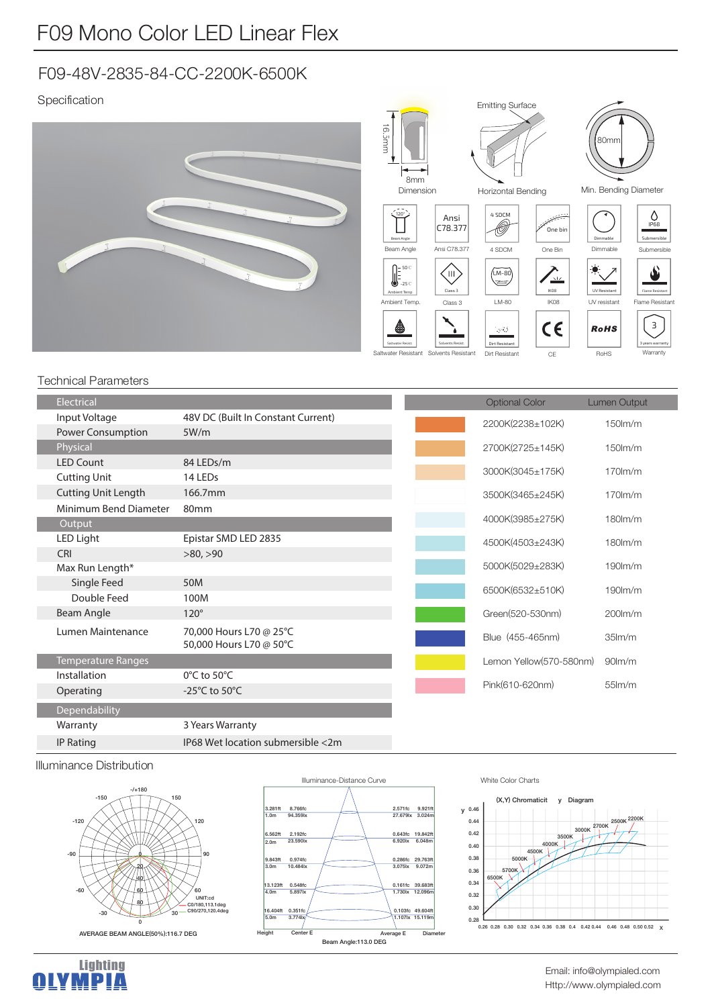# F09-48V-2835-84-CC-2200K-6500K

## Specification



#### Technical Parameters

| <b>Electrical</b>          |                                                    |
|----------------------------|----------------------------------------------------|
| Input Voltage              | 48V DC (Built In Constant Current)                 |
| Power Consumption          | 5W/m                                               |
| Physical                   |                                                    |
| <b>LED Count</b>           | 84 LEDs/m                                          |
| <b>Cutting Unit</b>        | 14 LEDs                                            |
| <b>Cutting Unit Length</b> | 166.7mm                                            |
| Minimum Bend Diameter      | 80 <sub>mm</sub>                                   |
| Output                     |                                                    |
| LED Light                  | Epistar SMD LED 2835                               |
| <b>CRI</b>                 | >80, >90                                           |
| Max Run Length*            |                                                    |
| Single Feed                | 50M                                                |
| Double Feed                | 100M                                               |
| Beam Angle                 | $120^\circ$                                        |
| Lumen Maintenance          | 70,000 Hours L70 @ 25°C<br>50,000 Hours L70 @ 50°C |
| <b>Temperature Ranges</b>  |                                                    |
| Installation               | $0^{\circ}$ C to 50 $^{\circ}$ C                   |
| Operating                  | -25 $^{\circ}$ C to 50 $^{\circ}$ C                |
| Dependability              |                                                    |
| Warranty                   | 3 Years Warranty                                   |
| <b>IP Rating</b>           | IP68 Wet location submersible <2m                  |

| <b>Optional Color</b>   | Lumen Output        |
|-------------------------|---------------------|
| 2200K(2238±102K)        | $150$ m/m           |
| 2700K(2725±145K)        | $150$ m/m           |
| 3000K(3045±175K)        | $170$ m/m           |
| 3500K(3465±245K)        | $170$ m/m           |
| 4000K(3985±275K)        | $180$ m/m           |
| 4500K(4503±243K)        | $180$ m/m           |
| 5000K(5029±283K)        | $190$ m/m           |
| 6500K(6532±510K)        | 190m/m              |
| Green(520-530nm)        | 200lm/m             |
| Blue (455-465nm)        | 35 <sub>lm</sub> /m |
| Lemon Yellow(570-580nm) | $90$ m/m            |
| Pink(610-620nm)         | $55$ lm/m           |

#### Illuminance Distribution

Lighting<br>**QLYMPIA** 





#### White Color Charts